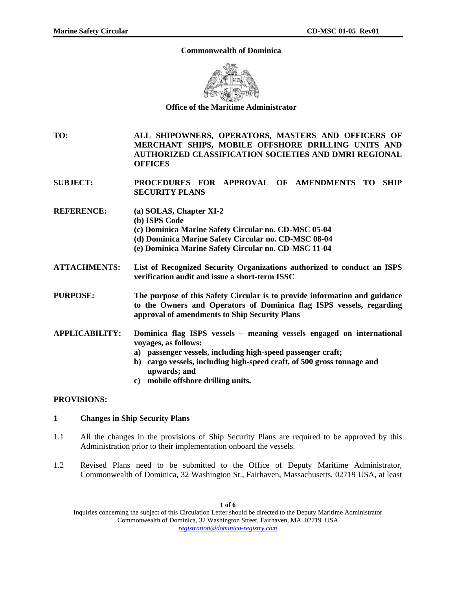### **Commonwealth of Dominica**



**Office of the Maritime Administrator** 

**TO: ALL SHIPOWNERS, OPERATORS, MASTERS AND OFFICERS OF MERCHANT SHIPS, MOBILE OFFSHORE DRILLING UNITS AND AUTHORIZED CLASSIFICATION SOCIETIES AND DMRI REGIONAL OFFICES** 

**SUBJECT: PROCEDURES FOR APPROVAL OF AMENDMENTS TO SHIP SECURITY PLANS** 

- **REFERENCE: (a) SOLAS, Chapter XI-2 (b) ISPS Code (c) Dominica Marine Safety Circular no. CD-MSC 05-04 (d) Dominica Marine Safety Circular no. CD-MSC 08-04** 
	- **(e) Dominica Marine Safety Circular no. CD-MSC 11-04**
- **ATTACHMENTS: List of Recognized Security Organizations authorized to conduct an ISPS verification audit and issue a short-term ISSC**

**PURPOSE: The purpose of this Safety Circular is to provide information and guidance to the Owners and Operators of Dominica flag ISPS vessels, regarding approval of amendments to Ship Security Plans** 

- **APPLICABILITY: Dominica flag ISPS vessels meaning vessels engaged on international voyages, as follows:** 
	- **a) passenger vessels, including high-speed passenger craft;**
	- **b) cargo vessels, including high-speed craft, of 500 gross tonnage and upwards; and**
	- **c) mobile offshore drilling units.**

### **PROVISIONS:**

# **1 Changes in Ship Security Plans**

- 1.1 All the changes in the provisions of Ship Security Plans are required to be approved by this Administration prior to their implementation onboard the vessels.
- 1.2 Revised Plans need to be submitted to the Office of Deputy Maritime Administrator, Commonwealth of Dominica, 32 Washington St., Fairhaven, Massachusetts, 02719 USA, at least

Inquiries concerning the subject of this Circulation Letter should be directed to the Deputy Maritime Administrator Commonwealth of Dominica, 32 Washington Street, Fairhaven, MA 02719 USA *registration@dominica-registry.com*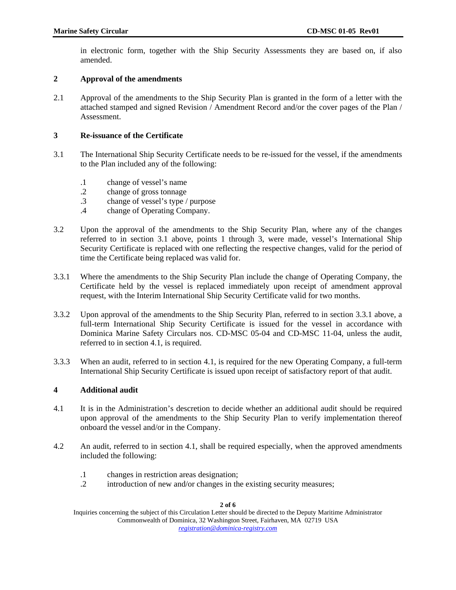in electronic form, together with the Ship Security Assessments they are based on, if also amended.

# **2 Approval of the amendments**

2.1 Approval of the amendments to the Ship Security Plan is granted in the form of a letter with the attached stamped and signed Revision / Amendment Record and/or the cover pages of the Plan / Assessment.

# **3 Re-issuance of the Certificate**

- 3.1 The International Ship Security Certificate needs to be re-issued for the vessel, if the amendments to the Plan included any of the following:
	- .1 change of vessel's name
	- .2 change of gross tonnage
	- .3 change of vessel's type / purpose
	- .4 change of Operating Company.
- 3.2 Upon the approval of the amendments to the Ship Security Plan, where any of the changes referred to in section 3.1 above, points 1 through 3, were made, vessel's International Ship Security Certificate is replaced with one reflecting the respective changes, valid for the period of time the Certificate being replaced was valid for.
- 3.3.1 Where the amendments to the Ship Security Plan include the change of Operating Company, the Certificate held by the vessel is replaced immediately upon receipt of amendment approval request, with the Interim International Ship Security Certificate valid for two months.
- 3.3.2 Upon approval of the amendments to the Ship Security Plan, referred to in section 3.3.1 above, a full-term International Ship Security Certificate is issued for the vessel in accordance with Dominica Marine Safety Circulars nos. CD-MSC 05-04 and CD-MSC 11-04, unless the audit, referred to in section 4.1, is required.
- 3.3.3 When an audit, referred to in section 4.1, is required for the new Operating Company, a full-term International Ship Security Certificate is issued upon receipt of satisfactory report of that audit.

# **4 Additional audit**

- 4.1 It is in the Administration's descretion to decide whether an additional audit should be required upon approval of the amendments to the Ship Security Plan to verify implementation thereof onboard the vessel and/or in the Company.
- 4.2 An audit, referred to in section 4.1, shall be required especially, when the approved amendments included the following:
	- .1 changes in restriction areas designation;<br>.2 introduction of new and/or changes in the
	- introduction of new and/or changes in the existing security measures;

**2 of 6** 

Inquiries concerning the subject of this Circulation Letter should be directed to the Deputy Maritime Administrator Commonwealth of Dominica, 32 Washington Street, Fairhaven, MA 02719 USA *registration@dominica-registry.com*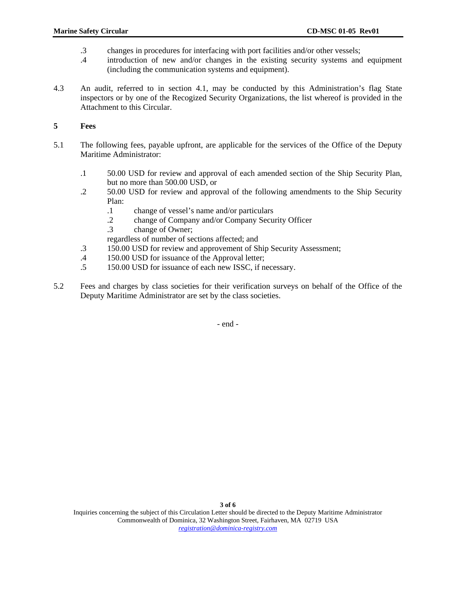- .3 changes in procedures for interfacing with port facilities and/or other vessels;
- .4 introduction of new and/or changes in the existing security systems and equipment (including the communication systems and equipment).
- 4.3 An audit, referred to in section 4.1, may be conducted by this Administration's flag State inspectors or by one of the Recogized Security Organizations, the list whereof is provided in the Attachment to this Circular.

# **5 Fees**

- 5.1 The following fees, payable upfront, are applicable for the services of the Office of the Deputy Maritime Administrator:
	- .1 50.00 USD for review and approval of each amended section of the Ship Security Plan, but no more than 500.00 USD, or
	- .2 50.00 USD for review and approval of the following amendments to the Ship Security Plan:
		- .1 change of vessel's name and/or particulars
		- .2 change of Company and/or Company Security Officer
		- .3 change of Owner;

regardless of number of sections affected; and

- .3 150.00 USD for review and approvement of Ship Security Assessment;
- .4 150.00 USD for issuance of the Approval letter;<br>.5 150.00 USD for issuance of each new ISSC, if no
- .5 150.00 USD for issuance of each new ISSC, if necessary.
- 5.2 Fees and charges by class societies for their verification surveys on behalf of the Office of the Deputy Maritime Administrator are set by the class societies.

- end -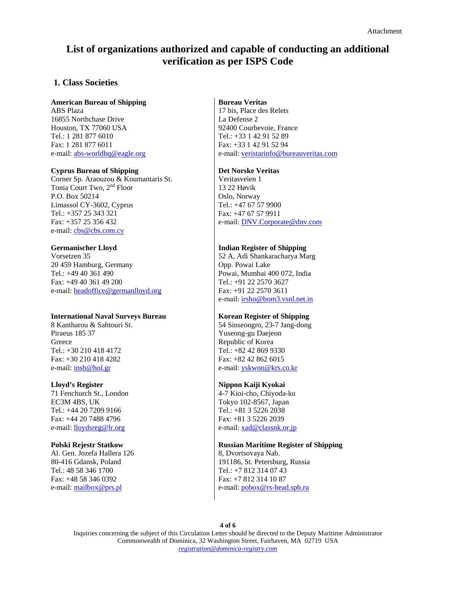# **List of organizations authorized and capable of conducting an additional verification as per ISPS Code**

# **1. Class Societies**

### **American Bureau of Shipping**

ABS Plaza 16855 Northchase Drive Houston, TX 77060 USA Tel.: 1 281 877 6010 Fax: 1 281 877 6011 e-mail: [abs-worldhq@eagle.org](mailto:abs-worldhq@eagle.org)

#### **Cyprus Bureau of Shipping**

Corner Sp. Araouzou & Koumantaris St. Tonia Court Two, 2<sup>nd</sup> Floor P.O. Box 50214 Limassol CY-3602, Cyprus Tel.: +357 25 343 321 Fax: +357 25 356 432 e-mail: [cbs@cbs.com.cy](mailto:cbs@cbs.com.cy)

### **Germanischer Lloyd**

Vorsetzen 35 20 459 Hamburg, Germany Tel.: +49 40 361 490 Fax: +49 40 361 49 200 e-mail: [headoffice@germanlloyd.org](mailto:headoffice@germanlloyd.org)

#### **International Naval Surveys Bureau**

8 Kantharou & Sahtouri St. Piraeus 185 37 Greece Tel.: +30 210 418 4172 Fax: +30 210 418 4282 e-mail: [insb@hol.gr](mailto:yskwon@krs.co.kr)

#### **Lloyd's Register**

71 Fenchurch St., London EC3M 4BS, UK Tel.: +44 20 7209 9166 Fax: +44 20 7488 4796 e-mail: [lloydsreg@lr.org](mailto:lloydsreg@lr.org)

### **Polski Rejestr Statkow**

Al. Gen. Jozefa Hallera 126 80-416 Gdansk, Poland Tel.: 48 58 346 1700 Fax: +48 58 346 0392 e-mail: [mailbox@prs.pl](mailto:mailbox@prs.pl)

### **Bureau Veritas**

17 bis, Place des Relets La Defense 2 92400 Courbevoie, France Tel.: +33 1 42 91 52 89 Fax: +33 1 42 91 52 94 e-mail: [veristarinfo@bureauveritas.com](mailto:veristarinfo@bureauveritas.com)

#### **Det Norske Veritas**

Veritasveien 1 13 22 Høvik Oslo, Norway Tel.: +47 67 57 9900 Fax: +47 67 57 9911 e-mail: [DNV.Corporate@dnv.com](mailto:DNV.Corporate@dnv.com)

### **Indian Register of Shipping**

52 A, Adi Shankaracharya Marg Opp. Powai Lake Powai, Mumbai 400 072, India Tel.: +91 22 2570 3627 Fax: +91 22 2570 3611 e-mail: [irsho@bom3.vsnl.net.in](mailto:irsho@bom3.vsnl.net.in)

### **Korean Register of Shipping**

54 Sinseongro, 23-7 Jang-dong Yuseong-gu Daejeon Republic of Korea Tel.: +82 42 869 9330 Fax: +82 42 862 6015 e-mail: [yskwon@krs.co.kr](mailto:yskwon@krs.co.kr)

### **Nippon Kaiji Kyokai**

4-7 Kioi-cho, Chiyoda-ku Tokyo 102-8567, Japan Tel.: +81 3 5226 2038 Fax: +81 3 5226 2039 e-mail: [xad@classnk.or.jp](mailto:xad@classnk.or.jp)

### **Russian Maritime Register of Shipping**

8, Dvortsovaya Nab. 191186, St. Petersburg, Russia Tel.: +7 812 314 07 43 Fax: +7 812 314 10 87 e-mail: [pobox@rs-head.spb.ru](mailto:pobox@rs-head.spb.ru)

**4 of 6** 

Inquiries concerning the subject of this Circulation Letter should be directed to the Deputy Maritime Administrator Commonwealth of Dominica, 32 Washington Street, Fairhaven, MA 02719 USA *registration@dominica-registry.com*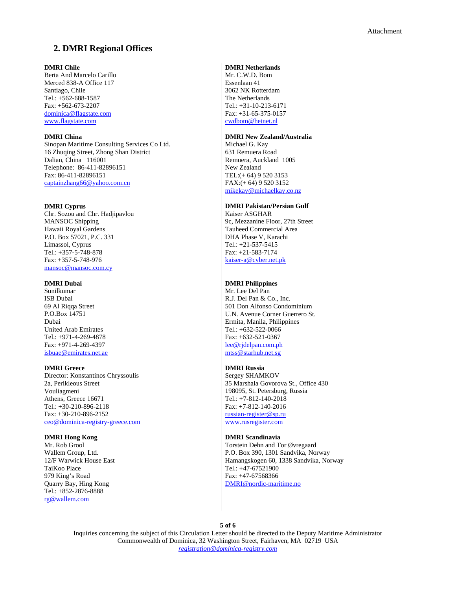# **2. DMRI Regional Offices**

#### **DMRI Chile**

Berta And Marcelo Carillo Merced 838-A Office 117 Santiago, Chile Tel.: +562-688-1587 Fax: +562-673-2207 [dominica@flagstate.com](mailto:dominica@flagstate.com) [www.flagstate.com](http://www.flagstate.com/)

#### **DMRI China**

Sinopan Maritime Consulting Services Co Ltd. 16 Zhuqing Street, Zhong Shan District Dalian, China 116001 Telephone: 86-411-82896151 Fax: 86-411-82896151 [captainzhang66@yahoo.com.cn](mailto:captainzhang66@yahoo.com.cn)

#### **DMRI Cyprus**

Chr. Sozou and Chr. Hadjipavlou MANSOC Shipping Hawaii Royal Gardens P.O. Box 57021, P.C. 331 Limassol, Cyprus Tel.: +357-5-748-878 Fax: +357-5-748-976 [mansoc@mansoc.com.cy](mailto:mansoc@mansoc.com.cy)

### **DMRI Dubai**

Sunilkumar ISB Dubai 69 Al Riqqa Street P.O.Box 14751 Dubai United Arab Emirates Tel.: +971-4-269-4878 Fax: +971-4-269-4397 [isbuae@emirates.net.ae](mailto:isbuae@emirates.net.ae)

#### **DMRI Greece**

Director: Konstantinos Chryssoulis 2a, Perikleous Street Vouliagmeni Athens, Greece 16671 Tel.: +30-210-896-2118 Fax: +30-210-896-2152 [ceo@dominica-registry-greece.com](mailto:ceo@dominica-registry-greece.com)

#### **DMRI Hong Kong**

Mr. Rob Grool Wallem Group, Ltd. 12/F Warwick House East TaiKoo Place 979 King's Road Quarry Bay, Hing Kong Tel.: +852-2876-8888 [rg@wallem.com](mailto:rg@wallem.com)

### **DMRI Netherlands**

Mr. C.W.D. Bom Essenlaan 41 3062 NK Rotterdam The Netherlands Tel.: +31-10-213-6171 Fax: +31-65-375-0157 [cwdbom@hetnet.nl](mailto:cwdbom@hetnet.nl)

#### **DMRI New Zealand/Australia**

Michael G. Kay 631 Remuera Road Remuera, Auckland 1005 New Zealand TEL:(+ 64) 9 520 3153 FAX:(+ 64) 9 520 3152 [mikekay@michaelkay.co.nz](mailto:mikekay@michaelkay.co.nz)

#### **DMRI Pakistan/Persian Gulf**

Kaiser ASGHAR 9c, Mezzanine Floor, 27th Street Tauheed Commercial Area DHA Phase V, Karachi Tel.: +21-537-5415 Fax: +21-583-7174 [kaiser-a@cyber.net.pk](mailto:kaiser-a@cyber.net.pk)

### **DMRI Philippines**

Mr. Lee Del Pan R.J. Del Pan & Co., Inc. 501 Don Alfonso Condominium U.N. Avenue Corner Guerrero St. Ermita, Manila, Philippines Tel.: +632-522-0066 Fax: +632-521-0367 [lee@rjdelpan.com.ph](mailto:lee@rjdelpan.com.ph) [mtss@starhub.net.sg](mailto:mtss@starhub.net.sg)

#### **DMRI Russia**

Sergey SHAMKOV 35 Marshala Govorova St., Office 430 198095, St. Petersburg, Russia Tel.: +7-812-140-2018 Fax: +7-812-140-2016 [russian-register@sp.ru](mailto:russian-register@sp.ru) [www.rusregister.com](http://www.rusregister.com/)

#### **DMRI Scandinavia**

Torstein Dehn and Tor Øvregaard P.O. Box 390, 1301 Sandvika, Norway Hamangskogen 60, 1338 Sandvika, Norway Tel.: +47-67521900 Fax: +47-67568366 [DMRI@nordic-maritime.no](mailto:DMRI@nordic-maritime.no)

**5 of 6** 

Inquiries concerning the subject of this Circulation Letter should be directed to the Deputy Maritime Administrator Commonwealth of Dominica, 32 Washington Street, Fairhaven, MA 02719 USA *registration@dominica-registry.com*